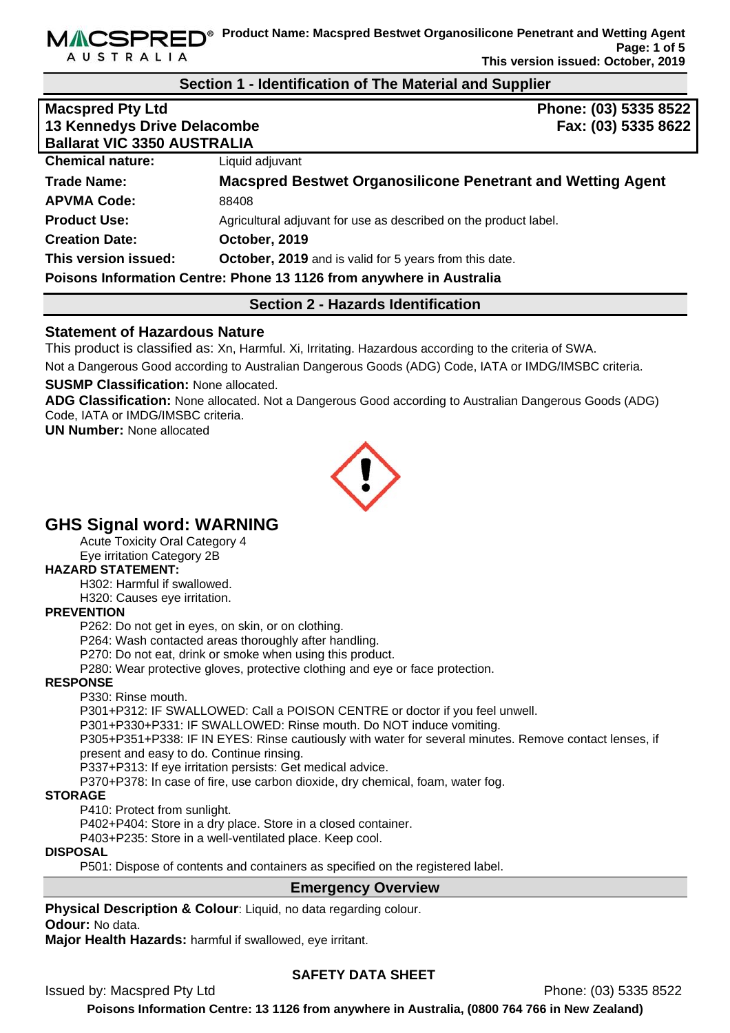**AUSTRALIA** 

MACSPRED<sup>®</sup> Product Name: Macspred Bestwet Organosilicone Penetrant and Wetting Agent **Page: 1 of 5 This version issued: October, 2019** 

#### **Section 1 - Identification of The Material and Supplier**

| <b>Macspred Pty Ltd</b>            | Phone: (03) 5335 8522                                                |  |
|------------------------------------|----------------------------------------------------------------------|--|
| <b>13 Kennedys Drive Delacombe</b> | Fax: (03) 5335 8622                                                  |  |
| <b>Ballarat VIC 3350 AUSTRALIA</b> |                                                                      |  |
| <b>Chemical nature:</b>            | Liquid adjuvant                                                      |  |
| <b>Trade Name:</b>                 | <b>Macspred Bestwet Organosilicone Penetrant and Wetting Agent</b>   |  |
| <b>APVMA Code:</b>                 | 88408                                                                |  |
| <b>Product Use:</b>                | Agricultural adjuvant for use as described on the product label.     |  |
| <b>Creation Date:</b>              | October, 2019                                                        |  |
| This version issued:               | October, 2019 and is valid for 5 years from this date.               |  |
|                                    | Poisons Information Centre: Phone 13 1126 from anywhere in Australia |  |

# **Section 2 - Hazards Identification**

# **Statement of Hazardous Nature**

This product is classified as: Xn, Harmful. Xi, Irritating. Hazardous according to the criteria of SWA.

Not a Dangerous Good according to Australian Dangerous Goods (ADG) Code, IATA or IMDG/IMSBC criteria.

#### **SUSMP Classification:** None allocated.

**ADG Classification:** None allocated. Not a Dangerous Good according to Australian Dangerous Goods (ADG) Code, IATA or IMDG/IMSBC criteria.

**UN Number:** None allocated



# **GHS Signal word: WARNING**

Acute Toxicity Oral Category 4

Eye irritation Category 2B

# **HAZARD STATEMENT:**

H302: Harmful if swallowed.

H320: Causes eye irritation.

#### **PREVENTION**

P262: Do not get in eyes, on skin, or on clothing.

P264: Wash contacted areas thoroughly after handling.

P270: Do not eat, drink or smoke when using this product.

P280: Wear protective gloves, protective clothing and eye or face protection.

#### **RESPONSE**

P330: Rinse mouth.

P301+P312: IF SWALLOWED: Call a POISON CENTRE or doctor if you feel unwell.

P301+P330+P331: IF SWALLOWED: Rinse mouth. Do NOT induce vomiting.

P305+P351+P338: IF IN EYES: Rinse cautiously with water for several minutes. Remove contact lenses, if present and easy to do. Continue rinsing.

P337+P313: If eye irritation persists: Get medical advice.

P370+P378: In case of fire, use carbon dioxide, dry chemical, foam, water fog.

#### **STORAGE**

P410: Protect from sunlight.

P402+P404: Store in a dry place. Store in a closed container.

P403+P235: Store in a well-ventilated place. Keep cool.

#### **DISPOSAL**

P501: Dispose of contents and containers as specified on the registered label.

# **Emergency Overview**

**Physical Description & Colour:** Liquid, no data regarding colour. **Odour:** No data.

**Major Health Hazards:** harmful if swallowed, eye irritant.

Issued by: Macspred Pty Ltd **Phone: (03) 5335 8522** 

# **SAFETY DATA SHEET**

**Poisons Information Centre: 13 1126 from anywhere in Australia, (0800 764 766 in New Zealand)**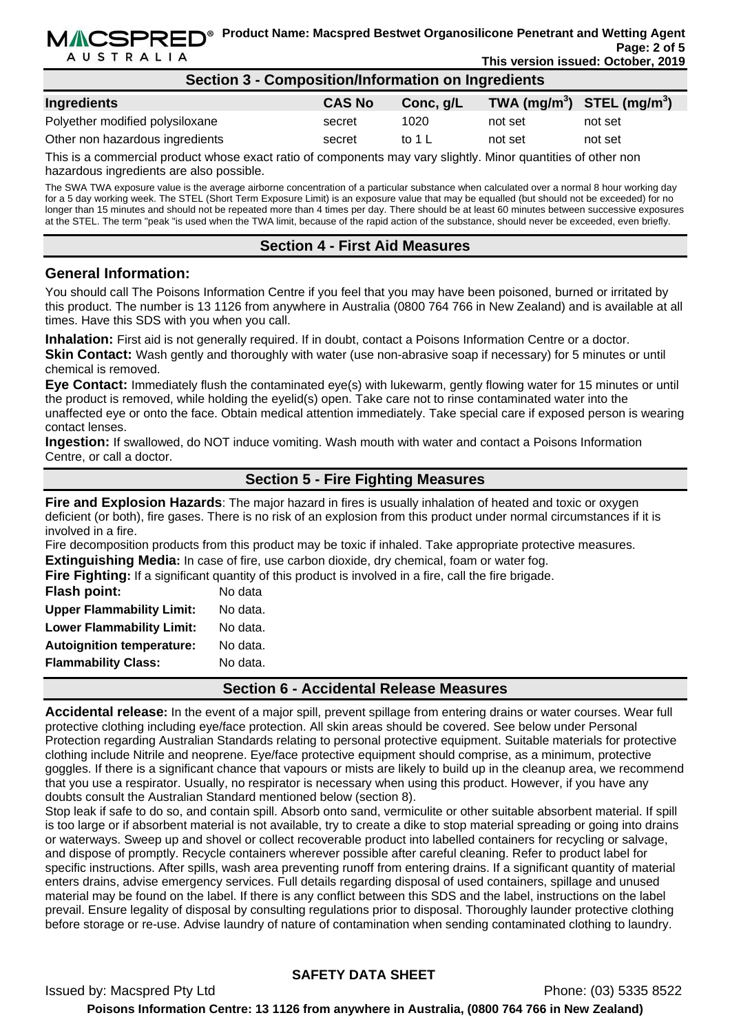| Section 3 - Composition/Information on Ingredients |               |           |                                |         |  |
|----------------------------------------------------|---------------|-----------|--------------------------------|---------|--|
| <b>Ingredients</b>                                 | <b>CAS No</b> | Conc, g/L | TWA $(mg/m^3)$ STEL $(mg/m^3)$ |         |  |
| Polyether modified polysiloxane                    | secret        | 1020      | not set                        | not set |  |
| Other non hazardous ingredients                    | secret        | to 1 L    | not set                        | not set |  |
|                                                    |               |           |                                |         |  |

This is a commercial product whose exact ratio of components may vary slightly. Minor quantities of other non hazardous ingredients are also possible.

The SWA TWA exposure value is the average airborne concentration of a particular substance when calculated over a normal 8 hour working day for a 5 day working week. The STEL (Short Term Exposure Limit) is an exposure value that may be equalled (but should not be exceeded) for no longer than 15 minutes and should not be repeated more than 4 times per day. There should be at least 60 minutes between successive exposures at the STEL. The term "peak "is used when the TWA limit, because of the rapid action of the substance, should never be exceeded, even briefly.

# **Section 4 - First Aid Measures**

# **General Information:**

You should call The Poisons Information Centre if you feel that you may have been poisoned, burned or irritated by this product. The number is 13 1126 from anywhere in Australia (0800 764 766 in New Zealand) and is available at all times. Have this SDS with you when you call.

**Inhalation:** First aid is not generally required. If in doubt, contact a Poisons Information Centre or a doctor. **Skin Contact:** Wash gently and thoroughly with water (use non-abrasive soap if necessary) for 5 minutes or until chemical is removed.

**Eye Contact:** Immediately flush the contaminated eye(s) with lukewarm, gently flowing water for 15 minutes or until the product is removed, while holding the eyelid(s) open. Take care not to rinse contaminated water into the unaffected eye or onto the face. Obtain medical attention immediately. Take special care if exposed person is wearing contact lenses.

**Ingestion:** If swallowed, do NOT induce vomiting. Wash mouth with water and contact a Poisons Information Centre, or call a doctor.

# **Section 5 - Fire Fighting Measures**

**Fire and Explosion Hazards**: The major hazard in fires is usually inhalation of heated and toxic or oxygen deficient (or both), fire gases. There is no risk of an explosion from this product under normal circumstances if it is involved in a fire.

Fire decomposition products from this product may be toxic if inhaled. Take appropriate protective measures. **Extinguishing Media:** In case of fire, use carbon dioxide, dry chemical, foam or water fog.

**Fire Fighting:** If a significant quantity of this product is involved in a fire, call the fire brigade.

| Flash point:                     | No data  |
|----------------------------------|----------|
| <b>Upper Flammability Limit:</b> | No data. |
| <b>Lower Flammability Limit:</b> | No data. |
| <b>Autoignition temperature:</b> | No data. |
| <b>Flammability Class:</b>       | No data. |
|                                  |          |

#### **Section 6 - Accidental Release Measures**

**Accidental release:** In the event of a major spill, prevent spillage from entering drains or water courses. Wear full protective clothing including eye/face protection. All skin areas should be covered. See below under Personal Protection regarding Australian Standards relating to personal protective equipment. Suitable materials for protective clothing include Nitrile and neoprene. Eye/face protective equipment should comprise, as a minimum, protective goggles. If there is a significant chance that vapours or mists are likely to build up in the cleanup area, we recommend that you use a respirator. Usually, no respirator is necessary when using this product. However, if you have any doubts consult the Australian Standard mentioned below (section 8).

Stop leak if safe to do so, and contain spill. Absorb onto sand, vermiculite or other suitable absorbent material. If spill is too large or if absorbent material is not available, try to create a dike to stop material spreading or going into drains or waterways. Sweep up and shovel or collect recoverable product into labelled containers for recycling or salvage, and dispose of promptly. Recycle containers wherever possible after careful cleaning. Refer to product label for specific instructions. After spills, wash area preventing runoff from entering drains. If a significant quantity of material enters drains, advise emergency services. Full details regarding disposal of used containers, spillage and unused material may be found on the label. If there is any conflict between this SDS and the label, instructions on the label prevail. Ensure legality of disposal by consulting regulations prior to disposal. Thoroughly launder protective clothing before storage or re-use. Advise laundry of nature of contamination when sending contaminated clothing to laundry.

# **SAFETY DATA SHEET**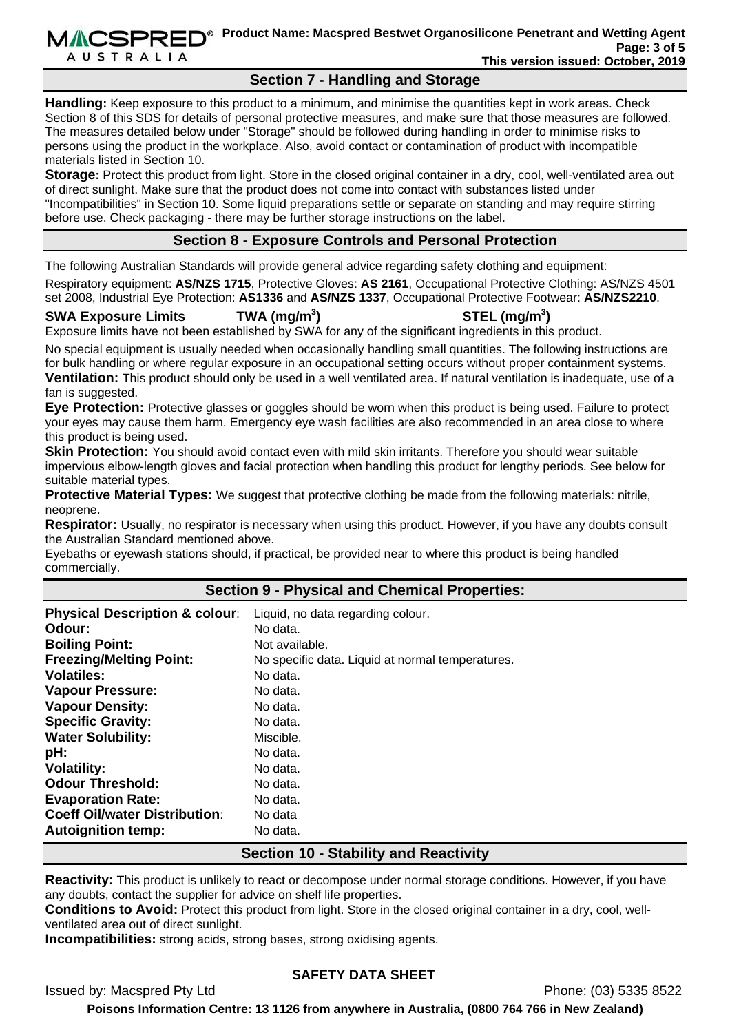**MACSPRED**<sup>®</sup> Product Name: Macspred Bestwet Organosilicone Penetrant and Wetting Agent **Page: 3 of 5 This version issued: October, 2019** 

# **Section 7 - Handling and Storage**

**Handling:** Keep exposure to this product to a minimum, and minimise the quantities kept in work areas. Check Section 8 of this SDS for details of personal protective measures, and make sure that those measures are followed. The measures detailed below under "Storage" should be followed during handling in order to minimise risks to persons using the product in the workplace. Also, avoid contact or contamination of product with incompatible materials listed in Section 10.

**Storage:** Protect this product from light. Store in the closed original container in a dry, cool, well-ventilated area out of direct sunlight. Make sure that the product does not come into contact with substances listed under "Incompatibilities" in Section 10. Some liquid preparations settle or separate on standing and may require stirring before use. Check packaging - there may be further storage instructions on the label.

# **Section 8 - Exposure Controls and Personal Protection**

The following Australian Standards will provide general advice regarding safety clothing and equipment:

Respiratory equipment: **AS/NZS 1715**, Protective Gloves: **AS 2161**, Occupational Protective Clothing: AS/NZS 4501 set 2008, Industrial Eye Protection: **AS1336** and **AS/NZS 1337**, Occupational Protective Footwear: **AS/NZS2210**.

# **SWA Exposure Limits TWA (mg/m<sup>3</sup>**

**AUSTRALIA** 

**) STEL (mg/m<sup>3</sup> )** 

Exposure limits have not been established by SWA for any of the significant ingredients in this product.

No special equipment is usually needed when occasionally handling small quantities. The following instructions are for bulk handling or where regular exposure in an occupational setting occurs without proper containment systems. **Ventilation:** This product should only be used in a well ventilated area. If natural ventilation is inadequate, use of a fan is suggested.

**Eye Protection:** Protective glasses or goggles should be worn when this product is being used. Failure to protect your eyes may cause them harm. Emergency eye wash facilities are also recommended in an area close to where this product is being used.

**Skin Protection:** You should avoid contact even with mild skin irritants. Therefore you should wear suitable impervious elbow-length gloves and facial protection when handling this product for lengthy periods. See below for suitable material types.

**Protective Material Types:** We suggest that protective clothing be made from the following materials: nitrile, neoprene.

**Respirator:** Usually, no respirator is necessary when using this product. However, if you have any doubts consult the Australian Standard mentioned above.

Eyebaths or eyewash stations should, if practical, be provided near to where this product is being handled commercially.

# **Section 9 - Physical and Chemical Properties:**

| <b>Physical Description &amp; colour:</b> | Liquid, no data regarding colour.                |
|-------------------------------------------|--------------------------------------------------|
| Odour:                                    | No data.                                         |
| <b>Boiling Point:</b>                     | Not available.                                   |
| <b>Freezing/Melting Point:</b>            | No specific data. Liquid at normal temperatures. |
| <b>Volatiles:</b>                         | No data.                                         |
| <b>Vapour Pressure:</b>                   | No data.                                         |
| <b>Vapour Density:</b>                    | No data.                                         |
| <b>Specific Gravity:</b>                  | No data.                                         |
| <b>Water Solubility:</b>                  | Miscible.                                        |
| pH:                                       | No data.                                         |
| <b>Volatility:</b>                        | No data.                                         |
| <b>Odour Threshold:</b>                   | No data.                                         |
| <b>Evaporation Rate:</b>                  | No data.                                         |
| <b>Coeff Oil/water Distribution:</b>      | No data                                          |
| <b>Autoignition temp:</b>                 | No data.                                         |

# **Section 10 - Stability and Reactivity**

**Reactivity:** This product is unlikely to react or decompose under normal storage conditions. However, if you have any doubts, contact the supplier for advice on shelf life properties.

**Conditions to Avoid:** Protect this product from light. Store in the closed original container in a dry, cool, wellventilated area out of direct sunlight.

**Incompatibilities:** strong acids, strong bases, strong oxidising agents.

Issued by: Macspred Pty Ltd Phone: (03) 5335 8522

# **SAFETY DATA SHEET**

**Poisons Information Centre: 13 1126 from anywhere in Australia, (0800 764 766 in New Zealand)**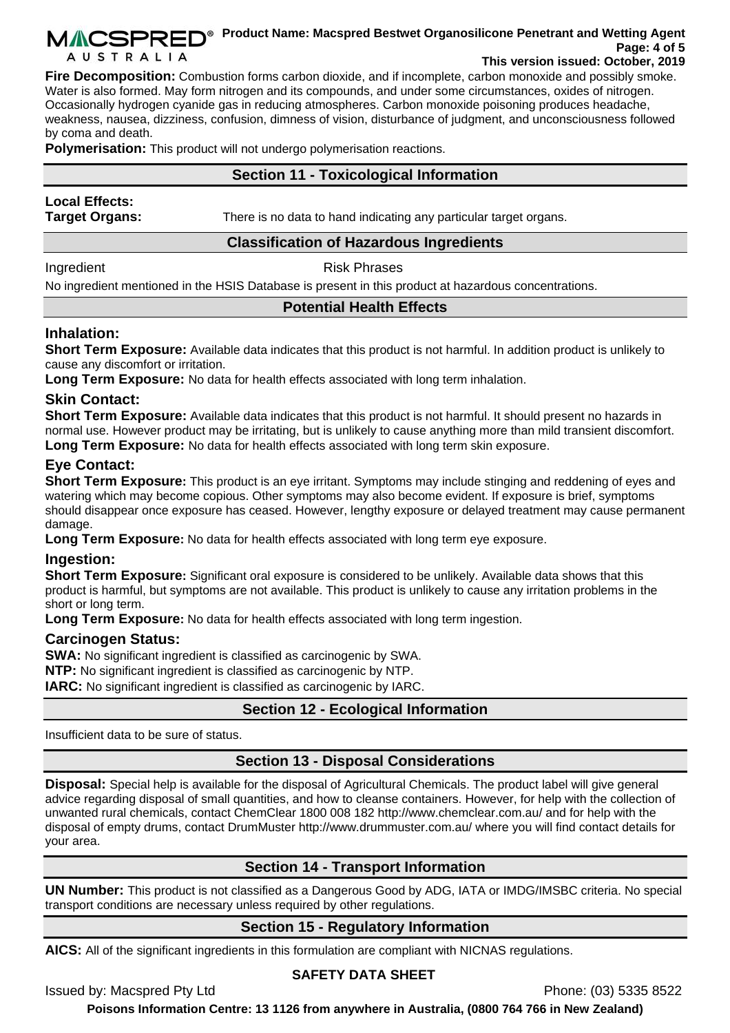#### **MACSPRED**<sup>®</sup> Product Name: Macspred Bestwet Organosilicone Penetrant and Wetting Agent **Page: 4 of 5 AUSTRALIA This version issued: October, 2019**

**Fire Decomposition:** Combustion forms carbon dioxide, and if incomplete, carbon monoxide and possibly smoke. Water is also formed. May form nitrogen and its compounds, and under some circumstances, oxides of nitrogen. Occasionally hydrogen cyanide gas in reducing atmospheres. Carbon monoxide poisoning produces headache, weakness, nausea, dizziness, confusion, dimness of vision, disturbance of judgment, and unconsciousness followed by coma and death.

**Polymerisation:** This product will not undergo polymerisation reactions.

# **Section 11 - Toxicological Information**

# **Local Effects:**

**Target Organs:** There is no data to hand indicating any particular target organs.

#### **Classification of Hazardous Ingredients**

Ingredient **Risk Phrases** 

No ingredient mentioned in the HSIS Database is present in this product at hazardous concentrations.

# **Potential Health Effects**

# **Inhalation:**

**Short Term Exposure:** Available data indicates that this product is not harmful. In addition product is unlikely to cause any discomfort or irritation.

**Long Term Exposure:** No data for health effects associated with long term inhalation.

# **Skin Contact:**

**Short Term Exposure:** Available data indicates that this product is not harmful. It should present no hazards in normal use. However product may be irritating, but is unlikely to cause anything more than mild transient discomfort. **Long Term Exposure:** No data for health effects associated with long term skin exposure.

# **Eye Contact:**

**Short Term Exposure:** This product is an eve irritant. Symptoms may include stinging and reddening of eyes and watering which may become copious. Other symptoms may also become evident. If exposure is brief, symptoms should disappear once exposure has ceased. However, lengthy exposure or delayed treatment may cause permanent damage.

**Long Term Exposure:** No data for health effects associated with long term eye exposure.

# **Ingestion:**

**Short Term Exposure:** Significant oral exposure is considered to be unlikely. Available data shows that this product is harmful, but symptoms are not available. This product is unlikely to cause any irritation problems in the short or long term.

**Long Term Exposure:** No data for health effects associated with long term ingestion.

# **Carcinogen Status:**

**SWA:** No significant ingredient is classified as carcinogenic by SWA.

**NTP:** No significant ingredient is classified as carcinogenic by NTP.

**IARC:** No significant ingredient is classified as carcinogenic by IARC.

# **Section 12 - Ecological Information**

Insufficient data to be sure of status.

# **Section 13 - Disposal Considerations**

**Disposal:** Special help is available for the disposal of Agricultural Chemicals. The product label will give general advice regarding disposal of small quantities, and how to cleanse containers. However, for help with the collection of unwanted rural chemicals, contact ChemClear 1800 008 182 http://www.chemclear.com.au/ and for help with the disposal of empty drums, contact DrumMuster http://www.drummuster.com.au/ where you will find contact details for your area.

# **Section 14 - Transport Information**

**UN Number:** This product is not classified as a Dangerous Good by ADG, IATA or IMDG/IMSBC criteria. No special transport conditions are necessary unless required by other regulations.

# **Section 15 - Regulatory Information**

**AICS:** All of the significant ingredients in this formulation are compliant with NICNAS regulations.

# **SAFETY DATA SHEET**

Issued by: Macspred Pty Ltd Phone: (03) 5335 8522

**Poisons Information Centre: 13 1126 from anywhere in Australia, (0800 764 766 in New Zealand)**